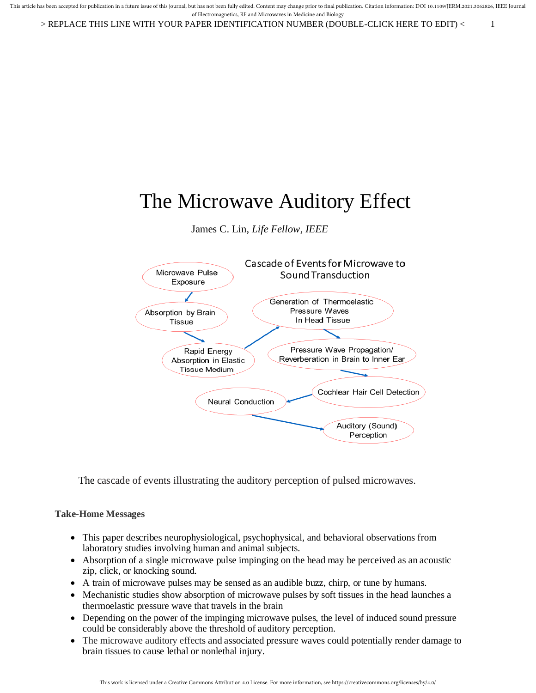> REPLACE THIS LINE WITH YOUR PAPER IDENTIFICATION NUMBER (DOUBLE-CLICK HERE TO EDIT) < 1

# The Microwave Auditory Effect

James C. Lin, *Life Fellow, IEEE*



The cascade of events illustrating the auditory perception of pulsed microwaves.

# **Take-Home Messages**

- This paper describes neurophysiological, psychophysical, and behavioral observations from laboratory studies involving human and animal subjects.
- Absorption of a single microwave pulse impinging on the head may be perceived as an acoustic zip, click, or knocking sound.
- A train of microwave pulses may be sensed as an audible buzz, chirp, or tune by humans.
- Mechanistic studies show absorption of microwave pulses by soft tissues in the head launches a thermoelastic pressure wave that travels in the brain
- Depending on the power of the impinging microwave pulses, the level of induced sound pressure could be considerably above the threshold of auditory perception.
- The microwave auditory effects and associated pressure waves could potentially render damage to brain tissues to cause lethal or nonlethal injury.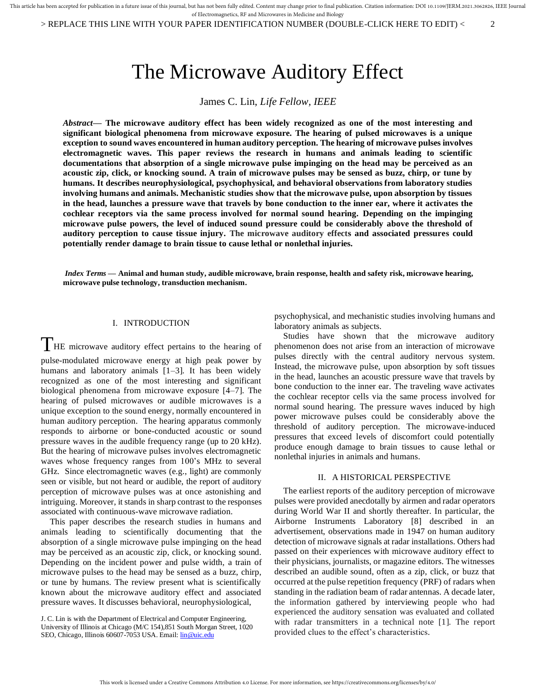> REPLACE THIS LINE WITH YOUR PAPER IDENTIFICATION NUMBER (DOUBLE-CLICK HERE TO EDIT) < 2

# The Microwave Auditory Effect

James C. Lin, *Life Fellow, IEEE*

*Abstract***— The microwave auditory effect has been widely recognized as one of the most interesting and significant biological phenomena from microwave exposure. The hearing of pulsed microwaves is a unique exception to sound waves encountered in human auditory perception. The hearing of microwave pulses involves electromagnetic waves. This paper reviews the research in humans and animals leading to scientific documentations that absorption of a single microwave pulse impinging on the head may be perceived as an acoustic zip, click, or knocking sound. A train of microwave pulses may be sensed as buzz, chirp, or tune by humans. It describes neurophysiological, psychophysical, and behavioral observations from laboratory studies involving humans and animals. Mechanistic studies show that the microwave pulse, upon absorption by tissues in the head, launches a pressure wave that travels by bone conduction to the inner ear, where it activates the cochlear receptors via the same process involved for normal sound hearing. Depending on the impinging microwave pulse powers, the level of induced sound pressure could be considerably above the threshold of auditory perception to cause tissue injury. The microwave auditory effects and associated pressures could potentially render damage to brain tissue to cause lethal or nonlethal injuries.**

*Index Terms* **— Animal and human study, audible microwave, brain response, health and safety risk, microwave hearing, microwave pulse technology, transduction mechanism.**

# I. INTRODUCTION

THE microwave auditory effect pertains to the hearing of pulse-modulated microwave energy at high peak power by humans and laboratory animals [1–3]. It has been widely recognized as one of the most interesting and significant biological phenomena from microwave exposure [4–7]. The hearing of pulsed microwaves or audible microwaves is a unique exception to the sound energy, normally encountered in human auditory perception. The hearing apparatus commonly responds to airborne or bone-conducted acoustic or sound pressure waves in the audible frequency range (up to 20 kHz). But the hearing of microwave pulses involves electromagnetic waves whose frequency ranges from 100's MHz to several GHz. Since electromagnetic waves (e.g., light) are commonly seen or visible, but not heard or audible, the report of auditory perception of microwave pulses was at once astonishing and intriguing. Moreover, it stands in sharp contrast to the responses associated with continuous-wave microwave radiation.

This paper describes the research studies in humans and animals leading to scientifically documenting that the absorption of a single microwave pulse impinging on the head may be perceived as an acoustic zip, click, or knocking sound. Depending on the incident power and pulse width, a train of microwave pulses to the head may be sensed as a buzz, chirp, or tune by humans. The review present what is scientifically known about the microwave auditory effect and associated pressure waves. It discusses behavioral, neurophysiological,

J. C. Lin is with the Department of Electrical and Computer Engineering, University of Illinois at Chicago (M/C 154),851 South Morgan Street, 1020 SEO, Chicago, Illinois 60607-7053 USA. Email[: lin@uic.edu](mailto:lin@uic.edu)

psychophysical, and mechanistic studies involving humans and laboratory animals as subjects.

Studies have shown that the microwave auditory phenomenon does not arise from an interaction of microwave pulses directly with the central auditory nervous system. Instead, the microwave pulse, upon absorption by soft tissues in the head, launches an acoustic pressure wave that travels by bone conduction to the inner ear. The traveling wave activates the cochlear receptor cells via the same process involved for normal sound hearing. The pressure waves induced by high power microwave pulses could be considerably above the threshold of auditory perception. The microwave-induced pressures that exceed levels of discomfort could potentially produce enough damage to brain tissues to cause lethal or nonlethal injuries in animals and humans.

### II. A HISTORICAL PERSPECTIVE

The earliest reports of the auditory perception of microwave pulses were provided anecdotally by airmen and radar operators during World War II and shortly thereafter. In particular, the Airborne Instruments Laboratory [8] described in an advertisement, observations made in 1947 on human auditory detection of microwave signals at radar installations. Others had passed on their experiences with microwave auditory effect to their physicians, journalists, or magazine editors. The witnesses described an audible sound, often as a zip, click, or buzz that occurred at the pulse repetition frequency (PRF) of radars when standing in the radiation beam of radar antennas. A decade later, the information gathered by interviewing people who had experienced the auditory sensation was evaluated and collated with radar transmitters in a technical note [1]. The report provided clues to the effect's characteristics.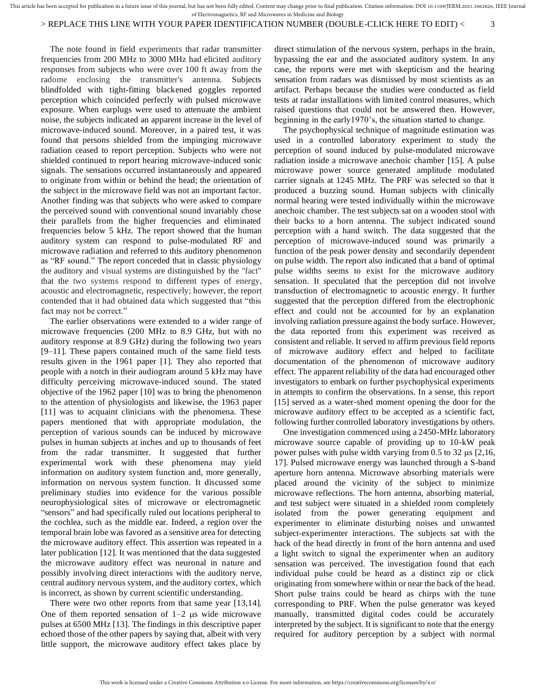# > REPLACE THIS LINE WITH YOUR PAPER IDENTIFICATION NUMBER (DOUBLE-CLICK HERE TO EDIT) < 3

The note found in field experiments that radar transmitter frequencies from 200 MHz to 3000 MHz had elicited auditory responses from subjects who were over 100 ft away from the radome enclosing the transmitter's antenna. Subjects blindfolded with tight-fitting blackened goggles reported perception which coincided perfectly with pulsed microwave exposure. When earplugs were used to attenuate the ambient noise, the subjects indicated an apparent increase in the level of microwave-induced sound. Moreover, in a paired test, it was found that persons shielded from the impinging microwave radiation ceased to report perception. Subjects who were not shielded continued to report hearing microwave-induced sonic signals. The sensations occurred instantaneously and appeared to originate from within or behind the head; the orientation of the subject in the microwave field was not an important factor. Another finding was that subjects who were asked to compare the perceived sound with conventional sound invariably chose their parallels from the higher frequencies and eliminated frequencies below 5 kHz. The report showed that the human auditory system can respond to pulse-modulated RF and microwave radiation and referred to this auditory phenomenon as "RF sound." The report conceded that in classic physiology the auditory and visual systems are distinguished by the "fact" that the two systems respond to different types of energy, acoustic and electromagnetic, respectively; however, the report contended that it had obtained data which suggested that "this fact may not be correct."

The earlier observations were extended to a wider range of microwave frequencies (200 MHz to 8.9 GHz, but with no auditory response at 8.9 GHz) during the following two years [9–11]. These papers contained much of the same field tests results given in the 1961 paper [1]. They also reported that people with a notch in their audiogram around 5 kHz may have difficulty perceiving microwave-induced sound. The stated objective of the 1962 paper [10] was to bring the phenomenon to the attention of physiologists and likewise, the 1963 paper [11] was to acquaint clinicians with the phenomena. These papers mentioned that with appropriate modulation, the perception of various sounds can be induced by microwave pulses in human subjects at inches and up to thousands of feet from the radar transmitter. It suggested that further experimental work with these phenomena may yield information on auditory system function and, more generally, information on nervous system function. It discussed some preliminary studies into evidence for the various possible neurophysiological sites of microwave or electromagnetic "sensors" and had specifically ruled out locations peripheral to the cochlea, such as the middle ear. Indeed, a region over the temporal brain lobe was favored as a sensitive area for detecting the microwave auditory effect. This assertion was repeated in a later publication [12]. It was mentioned that the data suggested the microwave auditory effect was neuronal in nature and possibly involving direct interactions with the auditory nerve, central auditory nervous system, and the auditory cortex, which is incorrect, as shown by current scientific understanding.

There were two other reports from that same year [13,14]. One of them reported sensation of  $1-2$  µs wide microwave pulses at 6500 MHz [13]. The findings in this descriptive paper echoed those of the other papers by saying that, albeit with very little support, the microwave auditory effect takes place by

direct stimulation of the nervous system, perhaps in the brain, bypassing the ear and the associated auditory system. In any case, the reports were met with skepticism and the hearing sensation from radars was dismissed by most scientists as an artifact. Perhaps because the studies were conducted as field tests at radar installations with limited control measures, which raised questions that could not be answered then. However, beginning in the early1970's, the situation started to change.

The psychophysical technique of magnitude estimation was used in a controlled laboratory experiment to study the perception of sound induced by pulse-modulated microwave radiation inside a microwave anechoic chamber [15]. A pulse microwave power source generated amplitude modulated carrier signals at 1245 MHz. The PRF was selected so that it produced a buzzing sound. Human subjects with clinically normal hearing were tested individually within the microwave anechoic chamber. The test subjects sat on a wooden stool with their backs to a horn antenna. The subject indicated sound perception with a hand switch. The data suggested that the perception of microwave-induced sound was primarily a function of the peak power density and secondarily dependent on pulse width. The report also indicated that a band of optimal pulse widths seems to exist for the microwave auditory sensation. It speculated that the perception did not involve transduction of electromagnetic to acoustic energy. It further suggested that the perception differed from the electrophonic effect and could not be accounted for by an explanation involving radiation pressure against the body surface. However, the data reported from this experiment was received as consistent and reliable. It served to affirm previous field reports of microwave auditory effect and helped to facilitate documentation of the phenomenon of microwave auditory effect. The apparent reliability of the data had encouraged other investigators to embark on further psychophysical experiments in attempts to confirm the observations. In a sense, this report [15] served as a water-shed moment opening the door for the microwave auditory effect to be accepted as a scientific fact, following further controlled laboratory investigations by others.

One investigation commenced using a 2450-MHz laboratory microwave source capable of providing up to 10-kW peak power pulses with pulse width varying from  $0.5$  to  $32 \mu s$  [2,16, 17]. Pulsed microwave energy was launched through a S-band aperture horn antenna. Microwave absorbing materials were placed around the vicinity of the subject to minimize microwave reflections. The horn antenna, absorbing material, and test subject were situated in a shielded room completely isolated from the power generating equipment and experimenter to eliminate disturbing noises and unwanted subject-experimenter interactions. The subjects sat with the back of the head directly in front of the horn antenna and used a light switch to signal the experimenter when an auditory sensation was perceived. The investigation found that each individual pulse could be heard as a distinct zip or click originating from somewhere within or near the back of the head. Short pulse trains could be heard as chirps with the tune corresponding to PRF. When the pulse generator was keyed manually, transmitted digital codes could be accurately interpreted by the subject. It is significant to note that the energy required for auditory perception by a subject with normal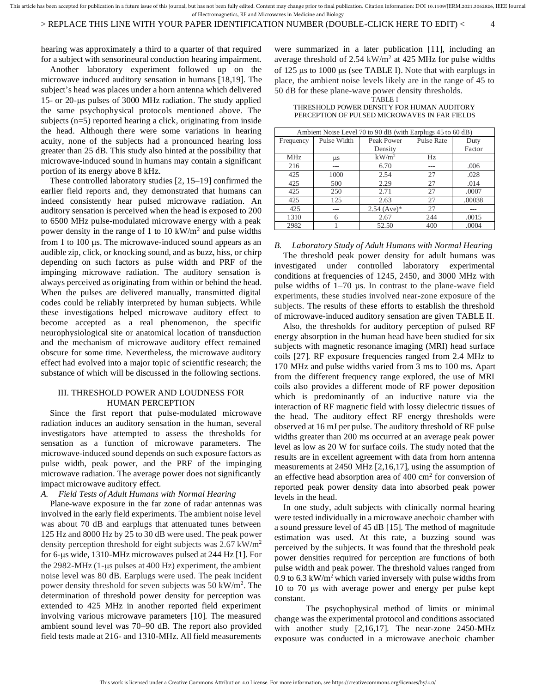# > REPLACE THIS LINE WITH YOUR PAPER IDENTIFICATION NUMBER (DOUBLE-CLICK HERE TO EDIT) < 4

hearing was approximately a third to a quarter of that required for a subject with sensorineural conduction hearing impairment.

Another laboratory experiment followed up on the microwave induced auditory sensation in humans [18,19]. The subject's head was places under a horn antenna which delivered 15- or 20-us pulses of 3000 MHz radiation. The study applied the same psychophysical protocols mentioned above. The subjects (n=5) reported hearing a click, originating from inside the head. Although there were some variations in hearing acuity, none of the subjects had a pronounced hearing loss greater than 25 dB. This study also hinted at the possibility that microwave-induced sound in humans may contain a significant portion of its energy above 8 kHz.

These controlled laboratory studies [2, 15–19] confirmed the earlier field reports and, they demonstrated that humans can indeed consistently hear pulsed microwave radiation. An auditory sensation is perceived when the head is exposed to 200 to 6500 MHz pulse-modulated microwave energy with a peak power density in the range of 1 to 10 kW/ $m<sup>2</sup>$  and pulse widths from 1 to 100  $\mu$ s. The microwave-induced sound appears as an audible zip, click, or knocking sound, and as buzz, hiss, or chirp depending on such factors as pulse width and PRF of the impinging microwave radiation. The auditory sensation is always perceived as originating from within or behind the head. When the pulses are delivered manually, transmitted digital codes could be reliably interpreted by human subjects. While these investigations helped microwave auditory effect to become accepted as a real phenomenon, the specific neurophysiological site or anatomical location of transduction and the mechanism of microwave auditory effect remained obscure for some time. Nevertheless, the microwave auditory effect had evolved into a major topic of scientific research; the substance of which will be discussed in the following sections.

# III. THRESHOLD POWER AND LOUDNESS FOR HUMAN PERCEPTION

Since the first report that pulse-modulated microwave radiation induces an auditory sensation in the human, several investigators have attempted to assess the thresholds for sensation as a function of microwave parameters. The microwave-induced sound depends on such exposure factors as pulse width, peak power, and the PRF of the impinging microwave radiation. The average power does not significantly impact microwave auditory effect.

## *A. Field Tests of Adult Humans with Normal Hearing*

Plane-wave exposure in the far zone of radar antennas was involved in the early field experiments. The ambient noise level was about 70 dB and earplugs that attenuated tunes between 125 Hz and 8000 Hz by 25 to 30 dB were used. The peak power density perception threshold for eight subjects was  $2.67 \text{ kW/m}^2$ for 6-µs wide, 1310-MHz microwaves pulsed at 244 Hz [1]. For the 2982-MHz  $(1-\mu s)$  pulses at 400 Hz) experiment, the ambient noise level was 80 dB. Earplugs were used. The peak incident power density threshold for seven subjects was 50 kW/m<sup>2</sup>. The determination of threshold power density for perception was extended to 425 MHz in another reported field experiment involving various microwave parameters [10]. The measured ambient sound level was 70–90 dB. The report also provided field tests made at 216- and 1310-MHz. All field measurements

were summarized in a later publication [11], including an average threshold of  $2.54 \text{ kW/m}^2$  at 425 MHz for pulse widths of 125  $\mu$ s to 1000  $\mu$ s (see TABLE I). Note that with earplugs in place, the ambient noise levels likely are in the range of 45 to 50 dB for these plane-wave power density thresholds.

#### TABLE I THRESHOLD POWER DENSITY FOR HUMAN AUDITORY PERCEPTION OF PULSED MICROWAVES IN FAR FIELDS

| Ambient Noise Level 70 to 90 dB (with Earplugs 45 to 60 dB) |             |               |                   |        |  |  |
|-------------------------------------------------------------|-------------|---------------|-------------------|--------|--|--|
| Frequency                                                   | Pulse Width | Peak Power    | <b>Pulse Rate</b> | Duty   |  |  |
|                                                             |             | Density       |                   | Factor |  |  |
| <b>MHz</b>                                                  | <b>LLS</b>  | $kW/m^2$      | Hz                |        |  |  |
| 216                                                         | ---         | 6.70          |                   | .006   |  |  |
| 425                                                         | 1000        | 2.54          | 27                | .028   |  |  |
| 425                                                         | 500         | 2.29          | 27                | .014   |  |  |
| 425                                                         | 250         | 2.71          | 27                | .0007  |  |  |
| 425                                                         | 125         | 2.63          | 27                | .00038 |  |  |
| 425                                                         | ---         | $2.54$ (Ave)* | 27                |        |  |  |
| 1310                                                        | 6           | 2.67          | 244               | .0015  |  |  |
| 2982                                                        |             | 52.50         | 400               | .0004  |  |  |

*B. Laboratory Study of Adult Humans with Normal Hearing* The threshold peak power density for adult humans was investigated under controlled laboratory experimental conditions at frequencies of 1245, 2450, and 3000 MHz with pulse widths of 1–70 µs. In contrast to the plane-wave field experiments, these studies involved near-zone exposure of the subjects. The results of these efforts to establish the threshold of microwave-induced auditory sensation are given TABLE II.

Also, the thresholds for auditory perception of pulsed RF energy absorption in the human head have been studied for six subjects with magnetic resonance imaging (MRI) head surface coils [27]. RF exposure frequencies ranged from 2.4 MHz to 170 MHz and pulse widths varied from 3 ms to 100 ms. Apart from the different frequency range explored, the use of MRI coils also provides a different mode of RF power deposition which is predominantly of an inductive nature via the interaction of RF magnetic field with lossy dielectric tissues of the head. The auditory effect RF energy thresholds were observed at 16 mJ per pulse. The auditory threshold of RF pulse widths greater than 200 ms occurred at an average peak power level as low as 20 W for surface coils. The study noted that the results are in excellent agreement with data from horn antenna measurements at 2450 MHz [2,16,17], using the assumption of an effective head absorption area of  $400 \text{ cm}^2$  for conversion of reported peak power density data into absorbed peak power levels in the head.

In one study, adult subjects with clinically normal hearing were tested individually in a microwave anechoic chamber with a sound pressure level of 45 dB [15]. The method of magnitude estimation was used. At this rate, a buzzing sound was perceived by the subjects. It was found that the threshold peak power densities required for perception are functions of both pulse width and peak power. The threshold values ranged from 0.9 to 6.3 kW/m<sup>2</sup> which varied inversely with pulse widths from 10 to 70  $\mu$ s with average power and energy per pulse kept constant.

The psychophysical method of limits or minimal change was the experimental protocol and conditions associated with another study [2,16,17]. The near-zone 2450-MHz exposure was conducted in a microwave anechoic chamber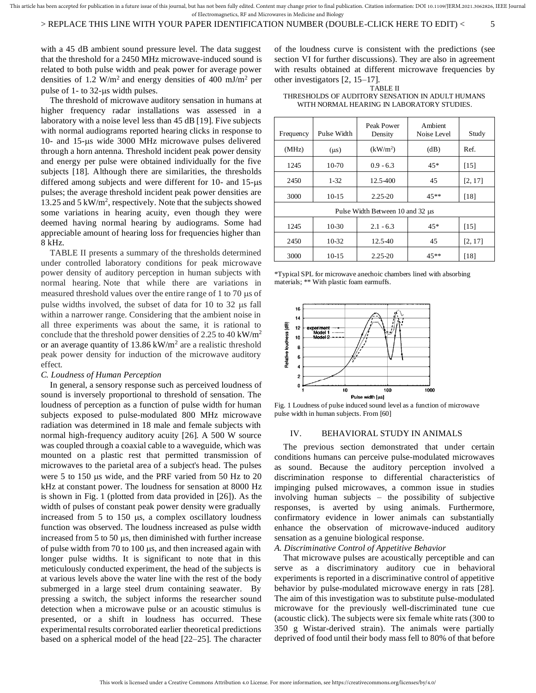# > REPLACE THIS LINE WITH YOUR PAPER IDENTIFICATION NUMBER (DOUBLE-CLICK HERE TO EDIT) < 5

with a 45 dB ambient sound pressure level. The data suggest that the threshold for a 2450 MHz microwave-induced sound is related to both pulse width and peak power for average power densities of 1.2 W/m<sup>2</sup> and energy densities of 400 mJ/m<sup>2</sup> per pulse of  $1-$  to  $32$ -us width pulses.

The threshold of microwave auditory sensation in humans at higher frequency radar installations was assessed in a laboratory with a noise level less than 45 dB [19]. Five subjects with normal audiograms reported hearing clicks in response to 10- and 15- $\mu$ s wide 3000 MHz microwave pulses delivered through a horn antenna. Threshold incident peak power density and energy per pulse were obtained individually for the five subjects [18]. Although there are similarities, the thresholds differed among subjects and were different for  $10$ - and  $15$ - $\mu s$ pulses; the average threshold incident peak power densities are 13.25 and 5 kW/m<sup>2</sup>, respectively. Note that the subjects showed some variations in hearing acuity, even though they were deemed having normal hearing by audiograms. Some had appreciable amount of hearing loss for frequencies higher than 8 kHz.

TABLE II presents a summary of the thresholds determined under controlled laboratory conditions for peak microwave power density of auditory perception in human subjects with normal hearing. Note that while there are variations in measured threshold values over the entire range of 1 to 70  $\mu$ s of pulse widths involved, the subset of data for 10 to 32 us fall within a narrower range. Considering that the ambient noise in all three experiments was about the same, it is rational to conclude that the threshold power densities of 2.25 to 40 kW/m<sup>2</sup> or an average quantity of  $13.86 \text{ kW/m}^2$  are a realistic threshold peak power density for induction of the microwave auditory effect.

## *C. Loudness of Human Perception*

In general, a sensory response such as perceived loudness of sound is inversely proportional to threshold of sensation. The loudness of perception as a function of pulse width for human subjects exposed to pulse-modulated 800 MHz microwave radiation was determined in 18 male and female subjects with normal high-frequency auditory acuity [26]. A 500 W source was coupled through a coaxial cable to a waveguide, which was mounted on a plastic rest that permitted transmission of microwaves to the parietal area of a subject's head. The pulses were 5 to 150  $\mu$ s wide, and the PRF varied from 50 Hz to 20 kHz at constant power. The loudness for sensation at 8000 Hz is shown in Fig. 1 (plotted from data provided in [26]). As the width of pulses of constant peak power density were gradually increased from  $5$  to  $150$  us, a complex oscillatory loudness function was observed. The loudness increased as pulse width increased from  $5$  to  $50 \mu s$ , then diminished with further increase of pulse width from 70 to 100  $\mu$ s, and then increased again with longer pulse widths. It is significant to note that in this meticulously conducted experiment, the head of the subjects is at various levels above the water line with the rest of the body submerged in a large steel drum containing seawater. By pressing a switch, the subject informs the researcher sound detection when a microwave pulse or an acoustic stimulus is presented, or a shift in loudness has occurred. These experimental results corroborated earlier theoretical predictions based on a spherical model of the head [22–25]. The character

of the loudness curve is consistent with the predictions (see section VI for further discussions). They are also in agreement with results obtained at different microwave frequencies by other investigators [2, 15–17].

TABLE II THRESHOLDS OF AUDITORY SENSATION IN ADULT HUMANS WITH NORMAL HEARING IN LABORATORY STUDIES.

| Frequency                        | Pulse Width | Peak Power<br>Density | Ambient<br>Noise Level | Study   |  |  |
|----------------------------------|-------------|-----------------------|------------------------|---------|--|--|
| (MHz)                            | $(\mu s)$   | (kW/m <sup>2</sup> )  | (dB)                   | Ref.    |  |  |
| 1245                             | $10-70$     | $0.9 - 6.3$           | $45*$                  | [15]    |  |  |
| 2450                             | $1 - 32$    | 12.5-400              | 45                     | [2, 17] |  |  |
| 3000                             | $10-15$     | $2.25 - 20$           | $45**$                 | [18]    |  |  |
| Pulse Width Between 10 and 32 µs |             |                       |                        |         |  |  |
| 1245                             | $10-30$     | $2.1 - 6.3$           | $45*$                  | [15]    |  |  |
| 2450                             | 10-32       | 12.5-40               | 45                     | [2, 17] |  |  |
| 3000                             | $10-15$     | $2.25 - 20$           | $45**$                 | [18]    |  |  |

\*Typical SPL for microwave anechoic chambers lined with absorbing materials; \*\* With plastic foam earmuffs.



Fig. 1 Loudness of pulse induced sound level as a function of microwave pulse width in human subjects. From [60]

#### IV. BEHAVIORAL STUDY IN ANIMALS

The previous section demonstrated that under certain conditions humans can perceive pulse-modulated microwaves as sound. Because the auditory perception involved a discrimination response to differential characteristics of impinging pulsed microwaves, a common issue in studies involving human subjects – the possibility of subjective responses, is averted by using animals. Furthermore, confirmatory evidence in lower animals can substantially enhance the observation of microwave-induced auditory sensation as a genuine biological response.

*A. Discriminative Control of Appetitive Behavior*

That microwave pulses are acoustically perceptible and can serve as a discriminatory auditory cue in behavioral experiments is reported in a discriminative control of appetitive behavior by pulse-modulated microwave energy in rats [28]. The aim of this investigation was to substitute pulse-modulated microwave for the previously well-discriminated tune cue (acoustic click). The subjects were six female white rats (300 to 350 g Wistar-derived strain). The animals were partially deprived of food until their body mass fell to 80% of that before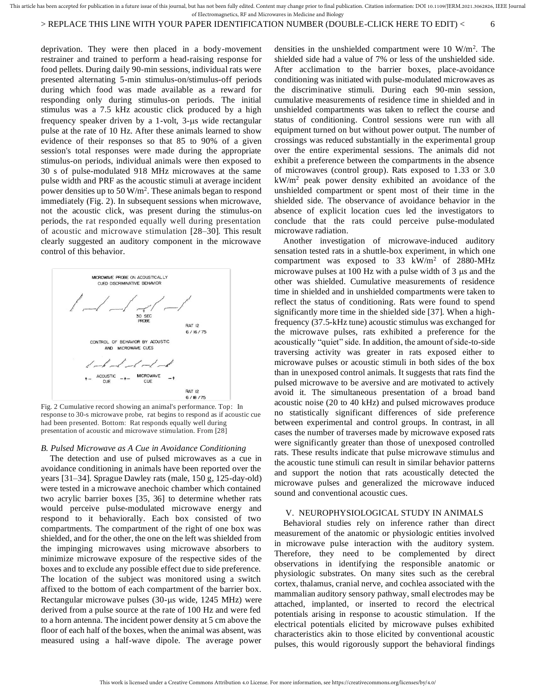# > REPLACE THIS LINE WITH YOUR PAPER IDENTIFICATION NUMBER (DOUBLE-CLICK HERE TO EDIT) < 6

deprivation. They were then placed in a body-movement restrainer and trained to perform a head-raising response for food pellets. During daily 90-min sessions, individual rats were presented alternating 5-min stimulus-on/stimulus-off periods during which food was made available as a reward for responding only during stimulus-on periods. The initial stimulus was a 7.5 kHz acoustic click produced by a high frequency speaker driven by a 1-volt,  $3$ - $\mu$ s wide rectangular pulse at the rate of 10 Hz. After these animals learned to show evidence of their responses so that 85 to 90% of a given session's total responses were made during the appropriate stimulus-on periods, individual animals were then exposed to 30 s of pulse-modulated 918 MHz microwaves at the same pulse width and PRF as the acoustic stimuli at average incident power densities up to  $50 \,\mathrm{W/m^2}$ . These animals began to respond immediately (Fig. 2). In subsequent sessions when microwave, not the acoustic click, was present during the stimulus-on periods, the rat responded equally well during presentation of acoustic and microwave stimulation [28–30]. This result clearly suggested an auditory component in the microwave control of this behavior.



Fig. 2 Cumulative record showing an animal's performance. Top: In response to 30-s microwave probe, rat begins to respond as if acoustic cue had been presented. Bottom: Rat responds equally well during presentation of acoustic and microwave stimulation. From [28]

## *B. Pulsed Microwave as A Cue in Avoidance Conditioning*

The detection and use of pulsed microwaves as a cue in avoidance conditioning in animals have been reported over the years [31–34]. Sprague Dawley rats (male, 150 g, 125-day-old) were tested in a microwave anechoic chamber which contained two acrylic barrier boxes [35, 36] to determine whether rats would perceive pulse-modulated microwave energy and respond to it behaviorally. Each box consisted of two compartments. The compartment of the right of one box was shielded, and for the other, the one on the left was shielded from the impinging microwaves using microwave absorbers to minimize microwave exposure of the respective sides of the boxes and to exclude any possible effect due to side preference. The location of the subject was monitored using a switch affixed to the bottom of each compartment of the barrier box. Rectangular microwave pulses (30-us wide, 1245 MHz) were derived from a pulse source at the rate of 100 Hz and were fed to a horn antenna. The incident power density at 5 cm above the floor of each half of the boxes, when the animal was absent, was measured using a half-wave dipole. The average power

densities in the unshielded compartment were 10 W/m<sup>2</sup> *.* The shielded side had a value of 7% or less of the unshielded side. After acclimation to the barrier boxes, place-avoidance conditioning was initiated with pulse-modulated microwaves as the discriminative stimuli. During each 90-min session, cumulative measurements of residence time in shielded and in unshielded compartments was taken to reflect the course and status of conditioning. Control sessions were run with all equipment turned on but without power output. The number of crossings was reduced substantially in the experimental group over the entire experimental sessions. The animals did not exhibit a preference between the compartments in the absence of microwaves (control group). Rats exposed to 1.33 or 3.0 kW/m<sup>2</sup> peak power density exhibited an avoidance of the unshielded compartment or spent most of their time in the shielded side. The observance of avoidance behavior in the absence of explicit location cues led the investigators to conclude that the rats could perceive pulse-modulated microwave radiation.

Another investigation of microwave-induced auditory sensation tested rats in a shuttle-box experiment, in which one compartment was exposed to  $33 \text{ kW/m}^2$  of  $2880\text{-}MHz$ microwave pulses at 100 Hz with a pulse width of  $3 \mu s$  and the other was shielded. Cumulative measurements of residence time in shielded and in unshielded compartments were taken to reflect the status of conditioning. Rats were found to spend significantly more time in the shielded side [37]. When a highfrequency (37.5-kHz tune) acoustic stimulus was exchanged for the microwave pulses, rats exhibited a preference for the acoustically "quiet" side. In addition, the amount of side-to-side traversing activity was greater in rats exposed either to microwave pulses or acoustic stimuli in both sides of the box than in unexposed control animals. It suggests that rats find the pulsed microwave to be aversive and are motivated to actively avoid it. The simultaneous presentation of a broad band acoustic noise (20 to 40 kHz) and pulsed microwaves produce no statistically significant differences of side preference between experimental and control groups. In contrast, in all cases the number of traverses made by microwave exposed rats were significantly greater than those of unexposed controlled rats. These results indicate that pulse microwave stimulus and the acoustic tune stimuli can result in similar behavior patterns and support the notion that rats acoustically detected the microwave pulses and generalized the microwave induced sound and conventional acoustic cues.

# V. NEUROPHYSIOLOGICAL STUDY IN ANIMALS

Behavioral studies rely on inference rather than direct measurement of the anatomic or physiologic entities involved in microwave pulse interaction with the auditory system. Therefore, they need to be complemented by direct observations in identifying the responsible anatomic or physiologic substrates. On many sites such as the cerebral cortex, thalamus, cranial nerve, and cochlea associated with the mammalian auditory sensory pathway, small electrodes may be attached, implanted, or inserted to record the electrical potentials arising in response to acoustic stimulation. If the electrical potentials elicited by microwave pulses exhibited characteristics akin to those elicited by conventional acoustic pulses, this would rigorously support the behavioral findings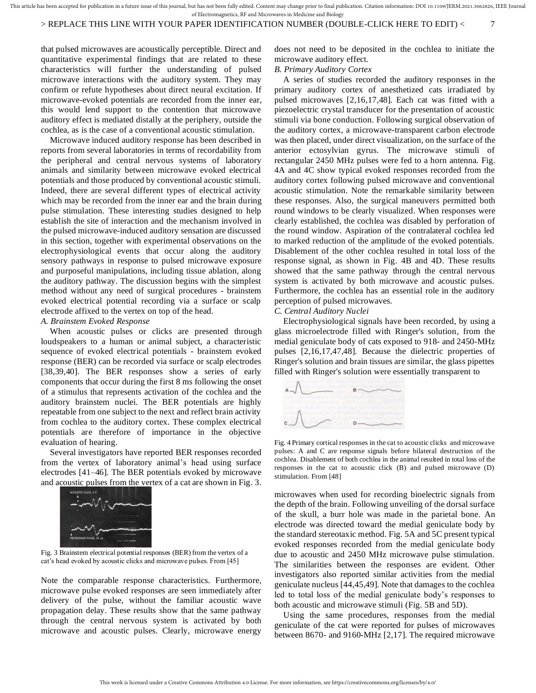that pulsed microwaves are acoustically perceptible. Direct and quantitative experimental findings that are related to these characteristics will further the understanding of pulsed microwave interactions with the auditory system. They may confirm or refute hypotheses about direct neural excitation. If microwave-evoked potentials are recorded from the inner ear, this would lend support to the contention that microwave auditory effect is mediated distally at the periphery, outside the cochlea, as is the case of a conventional acoustic stimulation.

Microwave induced auditory response has been described in reports from several laboratories in terms of recordability from the peripheral and central nervous systems of laboratory animals and similarity between microwave evoked electrical potentials and those produced by conventional acoustic stimuli. Indeed, there are several different types of electrical activity which may be recorded from the inner ear and the brain during pulse stimulation. These interesting studies designed to help establish the site of interaction and the mechanism involved in the pulsed microwave-induced auditory sensation are discussed in this section, together with experimental observations on the electrophysiological events that occur along the auditory sensory pathways in response to pulsed microwave exposure and purposeful manipulations, including tissue ablation, along the auditory pathway. The discussion begins with the simplest method without any need of surgical procedures - brainstem evoked electrical potential recording via a surface or scalp electrode affixed to the vertex on top of the head.

### *A. Brainstem Evoked Response*

When acoustic pulses or clicks are presented through loudspeakers to a human or animal subject, a characteristic sequence of evoked electrical potentials - brainstem evoked response (BER) can be recorded via surface or scalp electrodes [38,39,40]. The BER responses show a series of early components that occur during the first 8 ms following the onset of a stimulus that represents activation of the cochlea and the auditory brainstem nuclei. The BER potentials are highly repeatable from one subject to the next and reflect brain activity from cochlea to the auditory cortex. These complex electrical potentials are therefore of importance in the objective evaluation of hearing.

Several investigators have reported BER responses recorded from the vertex of laboratory animal's head using surface electrodes [41–46]. The BER potentials evoked by microwave and acoustic pulses from the vertex of a cat are shown in Fig. 3.



Fig. 3 Brainstem electrical potential responses (BER) from the vertex of a cat's head evoked by acoustic clicks and microwave pulses. From [45]

Note the comparable response characteristics. Furthermore, microwave pulse evoked responses are seen immediately after delivery of the pulse, without the familiar acoustic wave propagation delay. These results show that the same pathway through the central nervous system is activated by both microwave and acoustic pulses. Clearly, microwave energy does not need to be deposited in the cochlea to initiate the microwave auditory effect.

### *B. Primary Auditory Cortex*

A series of studies recorded the auditory responses in the primary auditory cortex of anesthetized cats irradiated by pulsed microwaves [2,16,17,48]. Each cat was fitted with a piezoelectric crystal transducer for the presentation of acoustic stimuli via bone conduction. Following surgical observation of the auditory cortex, a microwave-transparent carbon electrode was then placed, under direct visualization, on the surface of the anterior ectosylvian gyrus. The microwave stimuli of rectangular 2450 MHz pulses were fed to a horn antenna. Fig. 4A and 4C show typical evoked responses recorded from the auditory cortex following pulsed microwave and conventional acoustic stimulation. Note the remarkable similarity between these responses. Also, the surgical maneuvers permitted both round windows to be clearly visualized. When responses were clearly established, the cochlea was disabled by perforation of the round window. Aspiration of the contralateral cochlea led to marked reduction of the amplitude of the evoked potentials. Disablement of the other cochlea resulted in total loss of the response signal, as shown in Fig. 4B and 4D. These results showed that the same pathway through the central nervous system is activated by both microwave and acoustic pulses. Furthermore, the cochlea has an essential role in the auditory perception of pulsed microwaves.

# *C. Central Auditory Nuclei*

Electrophysiological signals have been recorded, by using a glass microelectrode filled with Ringer's solution, from the medial geniculate body of cats exposed to 918- and 2450-MHz pulses [2,16,17,47,48]. Because the dielectric properties of Ringer's solution and brain tissues are similar, the glass pipettes filled with Ringer's solution were essentially transparent to



Fig. 4 Primary cortical responses in the cat to acoustic clicks and microwave pulses: A and C are response signals before bilateral destruction of the cochlea. Disablement of both cochlea in the animal resulted in total loss of the responses in the cat to acoustic click (B) and pulsed microwave (D) stimulation. From [48]

microwaves when used for recording bioelectric signals from the depth of the brain. Following unveiling of the dorsal surface of the skull, a burr hole was made in the parietal bone. An electrode was directed toward the medial geniculate body by the standard stereotaxic method. Fig. 5A and 5C present typical evoked responses recorded from the medial geniculate body due to acoustic and 2450 MHz microwave pulse stimulation. The similarities between the responses are evident. Other investigators also reported similar activities from the medial geniculate nucleus [44,45,49]. Note that damages to the cochlea led to total loss of the medial geniculate body's responses to both acoustic and microwave stimuli (Fig. 5B and 5D). between 1967 microwaves when used for recording bioelectric signals from<br>the depho of the brain. Following unveiling of the original surface<br>domain and the equilibration endeal series and SC present typical<br>evoked by acous

Using the same procedures, responses from the medial geniculate of the cat were reported for pulses of microwaves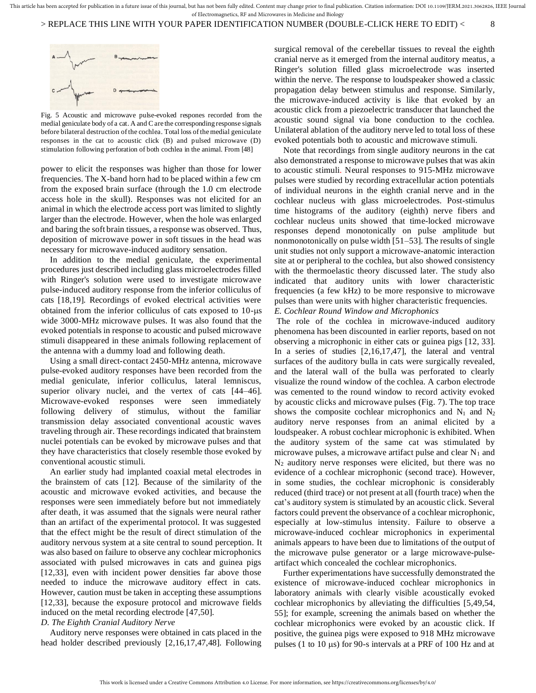> REPLACE THIS LINE WITH YOUR PAPER IDENTIFICATION NUMBER (DOUBLE-CLICK HERE TO EDIT) < 8



Fig. 5 Acoustic and microwave pulse-evoked respones recorded from the medial geniculate body of a cat. A and C are the corresponding response signals before bilateral destruction of the cochlea. Total loss of the medial geniculate responses in the cat to acoustic click (B) and pulsed microwave (D) stimulation following perforation of both cochlea in the animal. From [48]

power to elicit the responses was higher than those for lower frequencies. The X-band horn had to be placed within a few cm from the exposed brain surface (through the 1.0 cm electrode access hole in the skull). Responses was not elicited for an animal in which the electrode access port was limited to slightly larger than the electrode. However, when the hole was enlarged and baring the soft brain tissues, a response was observed. Thus, deposition of microwave power in soft tissues in the head was necessary for microwave-induced auditory sensation.

In addition to the medial geniculate, the experimental procedures just described including glass microelectrodes filled with Ringer's solution were used to investigate microwave pulse-induced auditory response from the inferior colliculus of cats [18,19]. Recordings of evoked electrical activities were obtained from the inferior colliculus of cats exposed to  $10$ - $\mu s$ wide 3000-MHz microwave pulses. It was also found that the evoked potentials in response to acoustic and pulsed microwave stimuli disappeared in these animals following replacement of the antenna with a dummy load and following death.

Using a small direct-contact 2450-MHz antenna, microwave pulse-evoked auditory responses have been recorded from the medial geniculate, inferior colliculus, lateral lemniscus, superior olivary nuclei, and the vertex of cats [44–46]. Microwave-evoked responses were seen immediately following delivery of stimulus, without the familiar transmission delay associated conventional acoustic waves traveling through air. These recordings indicated that brainstem nuclei potentials can be evoked by microwave pulses and that they have characteristics that closely resemble those evoked by conventional acoustic stimuli.

An earlier study had implanted coaxial metal electrodes in the brainstem of cats [12]. Because of the similarity of the acoustic and microwave evoked activities, and because the responses were seen immediately before but not immediately after death, it was assumed that the signals were neural rather than an artifact of the experimental protocol. It was suggested that the effect might be the result of direct stimulation of the auditory nervous system at a site central to sound perception. It was also based on failure to observe any cochlear microphonics associated with pulsed microwaves in cats and guinea pigs [12,33], even with incident power densities far above those needed to induce the microwave auditory effect in cats. However, caution must be taken in accepting these assumptions [12,33], because the exposure protocol and microwave fields induced on the metal recording electrode [47,50].

#### *D. The Eighth Cranial Auditory Nerve*

Auditory nerve responses were obtained in cats placed in the head holder described previously [2,16,17,47,48]. Following

surgical removal of the cerebellar tissues to reveal the eighth cranial nerve as it emerged from the internal auditory meatus, a Ringer's solution filled glass microelectrode was inserted within the nerve. The response to loudspeaker showed a classic propagation delay between stimulus and response. Similarly, the microwave-induced activity is like that evoked by an acoustic click from a piezoelectric transducer that launched the acoustic sound signal via bone conduction to the cochlea. Unilateral ablation of the auditory nerve led to total loss of these evoked potentials both to acoustic and microwave stimuli.

Note that recordings from single auditory neurons in the cat also demonstrated a response to microwave pulses that was akin to acoustic stimuli. Neural responses to 915-MHz microwave pulses were studied by recording extracellular action potentials of individual neurons in the eighth cranial nerve and in the cochlear nucleus with glass microelectrodes. Post-stimulus time histograms of the auditory (eighth) nerve fibers and cochlear nucleus units showed that time-locked microwave responses depend monotonically on pulse amplitude but nonmonotonically on pulse width [51–53]. The results of single unit studies not only support a microwave-anatomic interaction site at or peripheral to the cochlea, but also showed consistency with the thermoelastic theory discussed later. The study also indicated that auditory units with lower characteristic frequencies (a few kHz) to be more responsive to microwave pulses than were units with higher characteristic frequencies. *E. Cochlear Round Window and Microphonics*

The role of the cochlea in microwave-induced auditory phenomena has been discounted in earlier reports, based on not observing a microphonic in either cats or guinea pigs [12, 33]. In a series of studies [2,16,17,47], the lateral and ventral surfaces of the auditory bulla in cats were surgically revealed, and the lateral wall of the bulla was perforated to clearly visualize the round window of the cochlea. A carbon electrode was cemented to the round window to record activity evoked by acoustic clicks and microwave pulses (Fig. 7). The top trace shows the composite cochlear microphonics and  $N_1$  and  $N_2$ auditory nerve responses from an animal elicited by a loudspeaker. A robust cochlear microphonic is exhibited. When the auditory system of the same cat was stimulated by microwave pulses, a microwave artifact pulse and clear  $N_1$  and  $N_2$  auditory nerve responses were elicited, but there was no evidence of a cochlear microphonic (second trace). However, in some studies, the cochlear microphonic is considerably reduced (third trace) or not present at all (fourth trace) when the cat's auditory system is stimulated by an acoustic click. Several factors could prevent the observance of a cochlear microphonic, especially at low-stimulus intensity. Failure to observe a microwave-induced cochlear microphonics in experimental animals appears to have been due to limitations of the output of the microwave pulse generator or a large microwave-pulseartifact which concealed the cochlear microphonics.

Further experimentations have successfully demonstrated the existence of microwave-induced cochlear microphonics in laboratory animals with clearly visible acoustically evoked cochlear microphonics by alleviating the difficulties [5,49,54, 55]; for example, screening the animals based on whether the cochlear microphonics were evoked by an acoustic click. If positive, the guinea pigs were exposed to 918 MHz microwave pulses (1 to 10  $\mu$ s) for 90-s intervals at a PRF of 100 Hz and at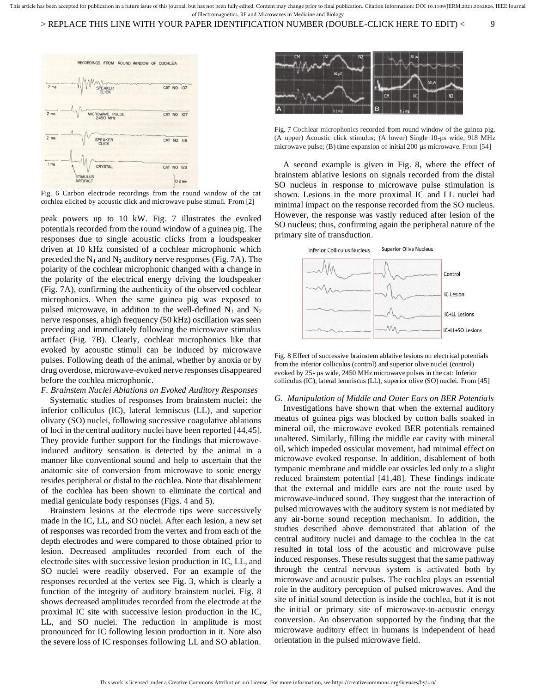

Fig. 6 Carbon electrode recordings from the round window of the cat cochlea elicited by acoustic click and microwave pulse stimuli. From [2]

peak powers up to 10 kW. Fig. 7 illustrates the evoked potentials recorded from the round window of a guinea pig. The responses due to single acoustic clicks from a loudspeaker driven at 10 kHz consisted of a cochlear microphonic which preceded the  $N_1$  and  $N_2$  auditory nerve responses (Fig. 7A). The polarity of the cochlear microphonic changed with a change in the polarity of the electrical energy driving the loudspeaker (Fig. 7A), confirming the authenticity of the observed cochlear microphonics. When the same guinea pig was exposed to pulsed microwave, in addition to the well-defined  $N_1$  and  $N_2$ nerve responses, a high frequency (50 kHz) oscillation was seen preceding and immediately following the microwave stimulus artifact (Fig. 7B). Clearly, cochlear microphonics like that evoked by acoustic stimuli can be induced by microwave pulses. Following death of the animal, whether by anoxia or by drug overdose, microwave-evoked nerve responses disappeared before the cochlea microphonic.

## *F. Brainstem Nuclei Ablations on Evoked Auditory Responses*

Systematic studies of responses from brainstem nuclei: the inferior colliculus (IC), lateral lemniscus (LL), and superior olivary (SO) nuclei, following successive coagulative ablations of loci in the central auditory nuclei have been reported [44,45]. They provide further support for the findings that microwaveinduced auditory sensation is detected by the animal in a manner like conventional sound and help to ascertain that the anatomic site of conversion from microwave to sonic energy resides peripheral or distal to the cochlea. Note that disablement of the cochlea has been shown to eliminate the cortical and medial geniculate body responses (Figs. 4 and 5).

Brainstem lesions at the electrode tips were successively made in the IC, LL, and SO nuclei. After each lesion, a new set of responses was recorded from the vertex and from each of the depth electrodes and were compared to those obtained prior to lesion. Decreased amplitudes recorded from each of the electrode sites with successive lesion production in IC, LL, and SO nuclei were readily observed. For an example of the responses recorded at the vertex see Fig. 3, which is clearly a function of the integrity of auditory brainstem nuclei. Fig. 8 shows decreased amplitudes recorded from the electrode at the proximal IC site with successive lesion production in the IC, LL, and SO nuclei. The reduction in amplitude is most pronounced for IC following lesion production in it. Note also the severe loss of IC responses following LL and SO ablation.



Fig. 7 Cochlear microphonics recorded from round window of the guinea pig. (A upper) Acoustic click stimulus; (A lower) Single 10-µs wide, 918 MHz microwave pulse; (B) time expansion of initial 200 µs microwave. From [54]

A second example is given in Fig. 8, where the effect of brainstem ablative lesions on signals recorded from the distal SO nucleus in response to microwave pulse stimulation is shown. Lesions in the more proximal IC and LL nuclei had minimal impact on the response recorded from the SO nucleus. However, the response was vastly reduced after lesion of the SO nucleus; thus, confirming again the peripheral nature of the primary site of transduction.



Fig. 8 Effect of successive brainstem ablative lesions on electrical potentials from the inferior colliculus (control) and superior olive nuclei (control) evoked by 25-  $\mu$ s wide, 2450 MHz microwave pulses in the cat: Inferior colliculus (IC), lateral lemniscus (LL), superior olive (SO) nuclei. From [45]

#### *G. Manipulation of Middle and Outer Ears on BER Potentials*

Investigations have shown that when the external auditory meatus of guinea pigs was blocked by cotton balls soaked in mineral oil, the microwave evoked BER potentials remained unaltered. Similarly, filling the middle ear cavity with mineral oil, which impeded ossicular movement, had minimal effect on microwave evoked response. In addition, disablement of both tympanic membrane and middle ear ossicles led only to a slight reduced brainstem potential [41,48]. These findings indicate that the external and middle ears are not the route used by microwave-induced sound. They suggest that the interaction of pulsed microwaves with the auditory system is not mediated by any air-borne sound reception mechanism. In addition, the studies described above demonstrated that ablation of the central auditory nuclei and damage to the cochlea in the cat resulted in total loss of the acoustic and microwave pulse induced responses. These results suggest that the same pathway through the central nervous system is activated both by microwave and acoustic pulses. The cochlea plays an essential role in the auditory perception of pulsed microwaves. And the site of initial sound detection is inside the cochlea, but it is not the initial or primary site of microwave-to-acoustic energy conversion. An observation supported by the finding that the microwave auditory effect in humans is independent of head orientation in the pulsed microwave field.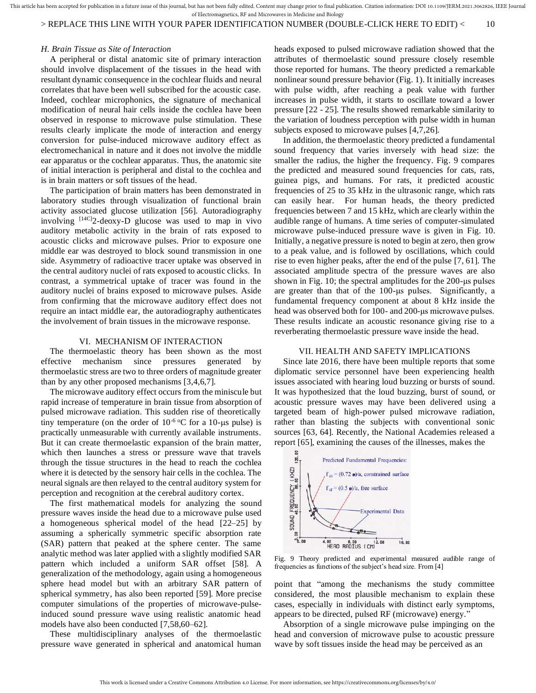> REPLACE THIS LINE WITH YOUR PAPER IDENTIFICATION NUMBER (DOUBLE-CLICK HERE TO EDIT) < 10

#### *H. Brain Tissue as Site of Interaction*

A peripheral or distal anatomic site of primary interaction should involve displacement of the tissues in the head with resultant dynamic consequence in the cochlear fluids and neural correlates that have been well subscribed for the acoustic case. Indeed, cochlear microphonics, the signature of mechanical modification of neural hair cells inside the cochlea have been observed in response to microwave pulse stimulation. These results clearly implicate the mode of interaction and energy conversion for pulse-induced microwave auditory effect as electromechanical in nature and it does not involve the middle ear apparatus or the cochlear apparatus. Thus, the anatomic site of initial interaction is peripheral and distal to the cochlea and is in brain matters or soft tissues of the head.

The participation of brain matters has been demonstrated in laboratory studies through visualization of functional brain activity associated glucose utilization [56]. Autoradiography involving [14C]2-deoxy-D glucose was used to map in vivo auditory metabolic activity in the brain of rats exposed to acoustic clicks and microwave pulses. Prior to exposure one middle ear was destroyed to block sound transmission in one side. Asymmetry of radioactive tracer uptake was observed in the central auditory nuclei of rats exposed to acoustic clicks. In contrast, a symmetrical uptake of tracer was found in the auditory nuclei of brains exposed to microwave pulses. Aside from confirming that the microwave auditory effect does not require an intact middle ear, the autoradiography authenticates the involvement of brain tissues in the microwave response.

#### VI. MECHANISM OF INTERACTION

The thermoelastic theory has been shown as the most effective mechanism since pressures generated by thermoelastic stress are two to three orders of magnitude greater than by any other proposed mechanisms [3,4,6,7].

The microwave auditory effect occurs from the miniscule but rapid increase of temperature in brain tissue from absorption of pulsed microwave radiation. This sudden rise of theoretically tiny temperature (on the order of  $10^{-6}$  °C for a 10-us pulse) is practically unmeasurable with currently available instruments. But it can create thermoelastic expansion of the brain matter, which then launches a stress or pressure wave that travels through the tissue structures in the head to reach the cochlea where it is detected by the sensory hair cells in the cochlea. The neural signals are then relayed to the central auditory system for perception and recognition at the cerebral auditory cortex.

The first mathematical models for analyzing the sound pressure waves inside the head due to a microwave pulse used a homogeneous spherical model of the head [22–25] by assuming a spherically symmetric specific absorption rate (SAR) pattern that peaked at the sphere center. The same analytic method was later applied with a slightly modified SAR pattern which included a uniform SAR offset [58]. A generalization of the methodology, again using a homogeneous sphere head model but with an arbitrary SAR pattern of spherical symmetry, has also been reported [59]. More precise computer simulations of the properties of microwave-pulseinduced sound pressure wave using realistic anatomic head models have also been conducted [7,58,60–62].

These multidisciplinary analyses of the thermoelastic pressure wave generated in spherical and anatomical human

heads exposed to pulsed microwave radiation showed that the attributes of thermoelastic sound pressure closely resemble those reported for humans. The theory predicted a remarkable nonlinear sound pressure behavior (Fig. 1). It initially increases with pulse width, after reaching a peak value with further increases in pulse width, it starts to oscillate toward a lower pressure [22 - 25]. The results showed remarkable similarity to the variation of loudness perception with pulse width in human subjects exposed to microwave pulses [4,7,26].

In addition, the thermoelastic theory predicted a fundamental sound frequency that varies inversely with head size: the smaller the radius, the higher the frequency. Fig. 9 compares the predicted and measured sound frequencies for cats, rats, guinea pigs, and humans. For rats, it predicted acoustic frequencies of 25 to 35 kHz in the ultrasonic range, which rats can easily hear. For human heads, the theory predicted frequencies between 7 and 15 kHz, which are clearly within the audible range of humans. A time series of computer-simulated microwave pulse-induced pressure wave is given in Fig. 10. Initially, a negative pressure is noted to begin at zero, then grow to a peak value, and is followed by oscillations, which could rise to even higher peaks, after the end of the pulse [7, 61]. The associated amplitude spectra of the pressure waves are also shown in Fig. 10; the spectral amplitudes for the 200-μs pulses are greater than that of the 100-μs pulses. Significantly, a fundamental frequency component at about 8 kHz inside the head was observed both for 100- and 200-μs microwave pulses. These results indicate an acoustic resonance giving rise to a reverberating thermoelastic pressure wave inside the head.

#### VII. HEALTH AND SAFETY IMPLICATIONS

Since late 2016, there have been multiple reports that some diplomatic service personnel have been experiencing health issues associated with hearing loud buzzing or bursts of sound. It was hypothesized that the loud buzzing, burst of sound, or acoustic pressure waves may have been delivered using a targeted beam of high-power pulsed microwave radiation, rather than blasting the subjects with conventional sonic sources [63, 64]. Recently, the National Academies released a report [65], examining the causes of the illnesses, makes the



Fig. 9 Theory predicted and experimental measured audible range of frequencies as functions of the subject's head size. From [4]

point that "among the mechanisms the study committee considered, the most plausible mechanism to explain these cases, especially in individuals with distinct early symptoms, appears to be directed, pulsed RF (microwave) energy."

Absorption of a single microwave pulse impinging on the head and conversion of microwave pulse to acoustic pressure wave by soft tissues inside the head may be perceived as an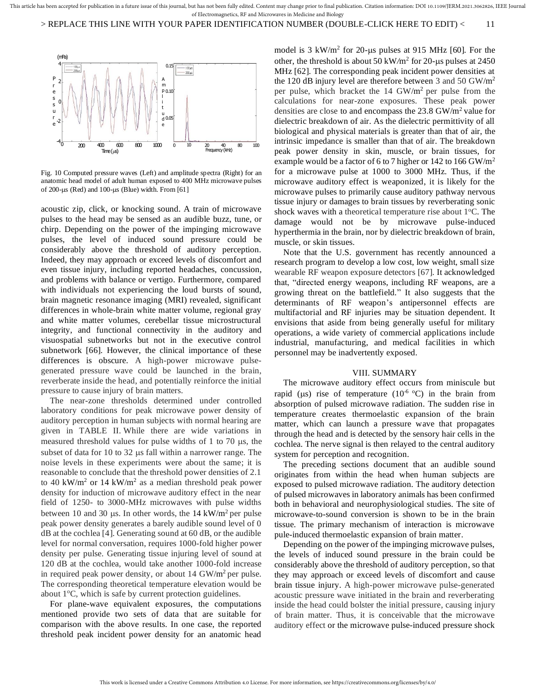

Fig. 10 Computed pressure waves (Left) and amplitude spectra (Right) for an anatomic head model of adult human exposed to 400 MHz microwave pulses of 200-us (Red) and  $100$ -us (Blue) width. From [61]

acoustic zip, click, or knocking sound. A train of microwave pulses to the head may be sensed as an audible buzz, tune, or chirp. Depending on the power of the impinging microwave pulses, the level of induced sound pressure could be considerably above the threshold of auditory perception. Indeed, they may approach or exceed levels of discomfort and even tissue injury, including reported headaches, concussion, and problems with balance or vertigo. Furthermore, compared with individuals not experiencing the loud bursts of sound, brain magnetic resonance imaging (MRI) revealed, significant differences in whole-brain white matter volume, regional gray and white matter volumes, cerebellar tissue microstructural integrity, and functional connectivity in the auditory and visuospatial subnetworks but not in the executive control subnetwork [66]. However, the clinical importance of these differences is obscure. A high-power microwave pulsegenerated pressure wave could be launched in the brain, reverberate inside the head, and potentially reinforce the initial pressure to cause injury of brain matters.

The near-zone thresholds determined under controlled laboratory conditions for peak microwave power density of auditory perception in human subjects with normal hearing are given in TABLE II. While there are wide variations in measured threshold values for pulse widths of 1 to 70  $\mu$ s, the subset of data for 10 to 32  $\mu$ s fall within a narrower range. The noise levels in these experiments were about the same; it is reasonable to conclude that the threshold power densities of 2.1 to 40 kW/m<sup>2</sup> or 14 kW/m<sup>2</sup> as a median threshold peak power density for induction of microwave auditory effect in the near field of 1250- to 3000-MHz microwaves with pulse widths between 10 and 30  $\mu$ s. In other words, the 14 kW/m<sup>2</sup> per pulse peak power density generates a barely audible sound level of 0 dB at the cochlea [4]. Generating sound at 60 dB, or the audible level for normal conversation, requires 1000-fold higher power density per pulse. Generating tissue injuring level of sound at 120 dB at the cochlea, would take another 1000-fold increase in required peak power density, or about  $14 \text{ GW/m}^2$  per pulse. The corresponding theoretical temperature elevation would be about  $1^{\circ}$ C, which is safe by current protection guidelines.

For plane-wave equivalent exposures, the computations mentioned provide two sets of data that are suitable for comparison with the above results. In one case, the reported threshold peak incident power density for an anatomic head

model is  $3 \text{ kW/m}^2$  for  $20$ -µs pulses at 915 MHz [60]. For the other, the threshold is about 50 kW/m<sup>2</sup> for 20-us pulses at 2450 MHz [62]. The corresponding peak incident power densities at the 120 dB injury level are therefore between 3 and 50  $GW/m^2$ per pulse, which bracket the  $14 \text{ GW/m}^2$  per pulse from the calculations for near-zone exposures. These peak power densities are close to and encompass the  $23.8 \text{ GW/m}^2$  value for dielectric breakdown of air. As the dielectric permittivity of all biological and physical materials is greater than that of air, the intrinsic impedance is smaller than that of air. The breakdown peak power density in skin, muscle, or brain tissues, for example would be a factor of 6 to 7 higher or 142 to 166 GW/m<sup>2</sup> for a microwave pulse at 1000 to 3000 MHz. Thus, if the microwave auditory effect is weaponized, it is likely for the microwave pulses to primarily cause auditory pathway nervous tissue injury or damages to brain tissues by reverberating sonic shock waves with a theoretical temperature rise about  $1^{\circ}$ C. The damage would not be by microwave pulse-induced hyperthermia in the brain, nor by dielectric breakdown of brain, muscle, or skin tissues.

Note that the U.S. government has recently announced a research program to develop a low cost, low weight, small size wearable RF weapon exposure detectors [67]. It acknowledged that, "directed energy weapons, including RF weapons, are a growing threat on the battlefield." It also suggests that the determinants of RF weapon's antipersonnel effects are multifactorial and RF injuries may be situation dependent. It envisions that aside from being generally useful for military operations, a wide variety of commercial applications include industrial, manufacturing, and medical facilities in which personnel may be inadvertently exposed.

#### VIII. SUMMARY

The microwave auditory effect occurs from miniscule but rapid ( $\mu$ s) rise of temperature (10<sup>-6 o</sup>C) in the brain from absorption of pulsed microwave radiation. The sudden rise in temperature creates thermoelastic expansion of the brain matter, which can launch a pressure wave that propagates through the head and is detected by the sensory hair cells in the cochlea. The nerve signal is then relayed to the central auditory system for perception and recognition.

The preceding sections document that an audible sound originates from within the head when human subjects are exposed to pulsed microwave radiation. The auditory detection of pulsed microwaves in laboratory animals has been confirmed both in behavioral and neurophysiological studies. The site of microwave-to-sound conversion is shown to be in the brain tissue. The primary mechanism of interaction is microwave pule-induced thermoelastic expansion of brain matter.

Depending on the power of the impinging microwave pulses, the levels of induced sound pressure in the brain could be considerably above the threshold of auditory perception, so that they may approach or exceed levels of discomfort and cause brain tissue injury. A high-power microwave pulse-generated acoustic pressure wave initiated in the brain and reverberating inside the head could bolster the initial pressure, causing injury of brain matter. Thus, it is conceivable that the microwave auditory effect or the microwave pulse-induced pressure shock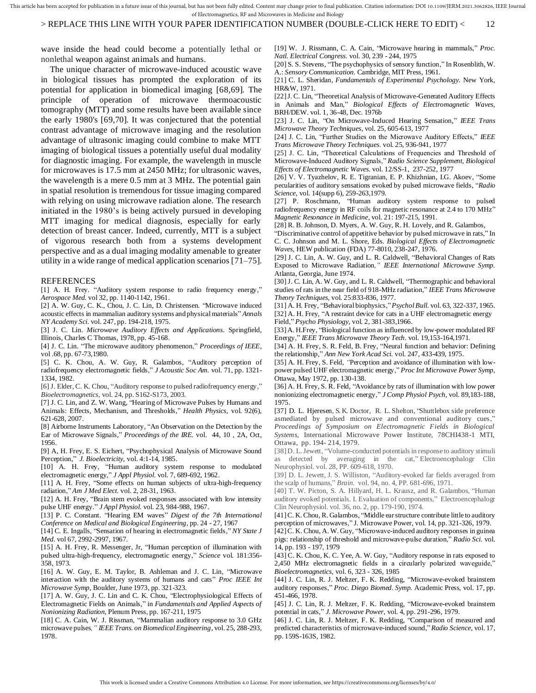# > REPLACE THIS LINE WITH YOUR PAPER IDENTIFICATION NUMBER (DOUBLE-CLICK HERE TO EDIT) < 12

wave inside the head could become a potentially lethal or nonlethal weapon against animals and humans.

The unique character of microwave-induced acoustic wave in biological tissues has prompted the exploration of its potential for application in biomedical imaging [68,69]. The principle of operation of microwave thermoacoustic tomography (MTT) and some results have been available since the early 1980's [69,70]. It was conjectured that the potential contrast advantage of microwave imaging and the resolution advantage of ultrasonic imaging could combine to make MTT imaging of biological tissues a potentially useful dual modality for diagnostic imaging. For example, the wavelength in muscle for microwaves is 17.5 mm at 2450 MHz; for ultrasonic waves, the wavelength is a mere 0.5 mm at 3 MHz. The potential gain in spatial resolution is tremendous for tissue imaging compared with relying on using microwave radiation alone. The research initiated in the 1980's is being actively pursued in developing MTT imaging for medical diagnosis, especially for early detection of breast cancer. Indeed, currently, MTT is a subject of vigorous research both from a systems development perspective and as a dual imaging modality amenable to greater utility in a wide range of medical application scenarios [71–75].

#### REFERENCES

[1] A. H. Frey. "Auditory system response to radio frequency energy," *Aerospace Med.* vol 32, pp. 1140-1142, 1961.

[2] A. W. Guy, C. K., Chou, J. C. Lin, D. Christensen. "Microwave induced acoustic effects in mammalian auditory systems and physical materials" *Annals NY Academy Sci.* vol. 247, pp. 194-218, 1975.

[3] J. C. Lin. *Microwave Auditory Effects and Applications*. Springfield, Illinois, Charles C Thomas, 1978, pp. 45-168.

[4] J. C. Lin. "The microwave auditory phenomenon," *Proceedings of IEEE,* vol .68, pp. 67-73,1980.

[5] C. K. Chou, A. W. Guy, R. Galambos, "Auditory perception of radiofrequency electromagnetic fields," *J Acoustic Soc Am.* vol. 71, pp. 1321- 1334, 1982.

[6] J. Elder, C. K. Chou, "Auditory response to pulsed radiofrequency energy," *Bioelectromagnetics,* vol. 24, pp. S162-S173, 2003.

[7] J. C. Lin, and Z. W. Wang, "Hearing of Microwave Pulses by Humans and Animals: Effects, Mechanism, and Thresholds," *Health Physics*, vol. 92(6), 621-628, 2007.

[8] Airborne Instruments Laboratory, "An Observation on the Detection by the Ear of Microwave Signals," *Proceedings of the IRE.* vol. 44, 10 , 2A, Oct, 1956.

[9] A, H. Frey, E. S. Eichert, "Psychophysical Analysis of Microwave Sound Perception," *J. Bioelectricity,* vol. 4:1-14, 1985.

[10] A. H. Frey, "Human auditory system response to modulated electromagnetic energy," *J Appl Physiol.* vol. 7, 689-692, 1962.

[11] A. H. Frey, "Some effects on human subjects of ultra-high-frequency radiation," *Am J Med Elect.* vol. 2, 28-31, 1963.

[12] A. H. Frey, "Brain stem evoked responses associated with low intensity pulse UHF energy." *J Appl Physiol.* vol. 23, 984-988, 1967.

[13] P. C. Constant. "Hearing EM waves" *Digest of the 7th International Conference on Medical and Biological Engineering*, pp. 24 - 27, 1967

[14] C. E. Ingalls, "Sensation of hearing in electromagnetic fields," *NY State J Med.* vol 67, 2992-2997, 1967.

[15] A. H. Frey, R. Messenger, Jr, "Human perception of illumination with pulsed ultra-high-frequency, electromagnetic energy," *Science* vol. 181:356- 358, 1973.

[16] A. W. Guy, E. M. Taylor, B. Ashleman and J. C. Lin, "Microwave interaction with the auditory systems of humans and cats" *Proc IEEE Int Microwave Symp,* Boulder, June 1973, pp. 321-323.

[17] A. W. Guy, J. C. Lin and C. K. Chou, "Electrophysiological Effects of Electromagnetic Fields on Animals," in *Fundamentals and Applied Aspects of Nonionizing Radiation*, Plenum Press, pp. 167-211, 1975

[18] C. A. Cain, W. J. Rissman, "Mammalian auditory response to 3.0 GHz microwave pulses*," IEEE Trans. on Biomedical Engineering,* vol. 25, 288-293, 1978.

[19] W. J. Rissmann, C. A. Cain, "Microwave hearing in mammals," *Proc. Natl. Electrical Congress.* vol. 30, 239 - 244, 1975

[20] S. S. Stevens, "The psychophysics of sensory function," In Rosenblith, W. A.: *Sensory Communication.* Cambridge, MIT Press, 1961.

[21] C. L. Sheridan, *Fundamentals of Experimental Psychology.* New York, HR&W, 1971.

[22] J. C. Lin, "Theoretical Analysis of Microwave-Generated Auditory Effects in Animals and Man," *Biological Effects of Electromagnetic Waves,* BRH/DEW. vol. 1, 36-48, Dec. 1976b

[23] J. C. Lin, "On Microwave-Induced Hearing Sensation," *IEEE Trans Microwave Theory Techniques,* vol. 25, 605-613, 1977

[24] J. C. Lin, "Further Studies on the Microwave Auditory Effects," *IEEE Trans Microwave Theory Techniques.* vol. 25, 936-941, 1977

[25] J. C. Lin, "Theoretical Calculations of Frequencies and Threshold of Microwave-Induced Auditory Signals," *Radio Science Supplement, Biological Effects of Electromagnetic Waves.* vol. 12/SS-1, 237-252, 1977

[26] V. V. Tyazhelov, R. E. Tigranian, E. P. Khizhnian, I.G. Akoev, "Some pecularities of auditory sensations evoked by pulsed microwave fields, "*Radio Science,* vol. 14(supp 6), 259-263,1979.

[27] P. Roschmann, "Human auditory system response to pulsed radiofrequency energy in RF coils for magnetic resonance at 2.4 to 170 MHz" *Magnetic Resonance in Medicine,* vol. 21: 197-215, 1991.

[28] R. B. Johnson, D. Myers, A. W. Guy, R. H. Lovely, and R. Galambos,

"Discriminative control of appetitive behavior by pulsed microwave in rats," In C. C. Johnson and M. L. Shore, Eds. *Biological Effects of Electromagnetic Waves,* HEW publication (FDA) 77-8010, 238-247, 1976.

[29] J. C. Lin, A. W. Guy, and L. R. Caldwell, "Behavioral Changes of Rats Exposed to Microwave Radiation*," IEEE International Microwave Symp.* Atlanta, Georgia, June 1974.

[30] J. C. Lin, A. W. Guy, and L. R. Caldwell, "Thermographic and behavioral studies of rats in the near field of 918-MHz radiation," *IEEE Trans Microwave Theory Techniques,* vol. 25:833-836, 1977.

[31] A. H. Frey, "Behavioral biophysics,"*Psychol Bull.* vol. 63, 322-337, 1965. [32] A. H. Frey, "A restraint device for cats in a UHF electromagnetic energy Field," *Psycho Physiology,* vol. 2, 381-383,1966.

[33] A. H.Frey, "Biological function as influenced by low-power modulated RF Energy," *IEEE Trans Microwave Theory Tech.* vol. 19,153-164,1971.

[34] A. H. Frey, S. R. Feld, B. Frey, "Neural function and behavior: Defining the relationship," *Ann New York Acad Sci.* vol. 247, 433-439, 1975.

[35] A. H. Frey, S. Feld, *"*Perception and avoidance of illumination with lowpower pulsed UHF electromagnetic energy," *Proc Int Microwave Power Symp,*  Ottawa, May 1972, pp. 130-138.

[36] A. H. Frey, S. R. Feld, "Avoidance by rats of illumination with low power nonionizing electromagnetic energy," *J Comp Physiol Psych,* vol. 89,183-188, 1975.

[37] D. L. Hjeresen, S. K. Doctor, R. L. Shelton, 'Shuttlebox side preference asmediated by pulsed microwave and conventional auditory cues," *Proceedings of Symposium on Electromagnetic Fields in Biological Systems,* International Microwave Power Institute, 78CHI438-1 MTI, Ottawa, pp. 194- 214, 1979.

[38] D. L. Jewett, "Volume-conducted potentials in response to auditory stimuli as detected by averaging in the cat," Electroencephalogr Clin Neurophysiol. vol. 28, PP. 609-618, 1970.

[39] D. L. Jewett, J. S. Williston, "Auditory-evoked far fields averaged from the scalp of humans," *Brain.* vol. 94, no. 4, PP. 681-696, 1971.

[40] T. W. Picton, S. A. Hillyard, H. L. Krausz, and R. Galambos, "Human auditory evoked potentials. I. Evaluation of components," Electroencephalogr Clin Neurophysiol. vol. 36, no. 2, pp. 179-190, 1974.

[41] C. K. Chou, R. Galambos, "Middle ear structure contribute little to auditory perception of microwaves," J. Microwave Power, vol. 14, pp. 321-326, 1979.

[42]C. K. Chou, A. W. Guy, "Microwave-induced auditory responses in guinea pigs: relationship of threshold and microwave-pulse duration," *Radio Sci.* vol. 14, pp. 193 - 197, 1979

[43] C. K. Chou, K. C. Yee, A. W. Guy, "Auditory response in rats exposed to 2,450 MHz electromagnetic fields in a circularly polarized waveguide," *Bioelectromagnetics,* vol. 6, 323 - 326, 1985

[44] J. C. Lin, R. J. Meltzer, F. K. Redding, "Microwave-evoked brainstem auditory responses," *Proc. Diego Biomed. Symp.* Academic Press, vol. 17, pp. 451-466, 1978.

[45] J. C. Lin, R. J. Meltzer, F. K. Redding, "Microwave-evoked brainstem potential in cats," *J. Microwave Power,* vol. 4, pp. 291-296, 1979.

[46] J. C. Lin, R. J. Meltzer, F. K. Redding, "Comparison of measured and predicted characteristics of microwave-induced sound,"*Radio Science*, vol. 17, pp. 159S-163S, 1982.